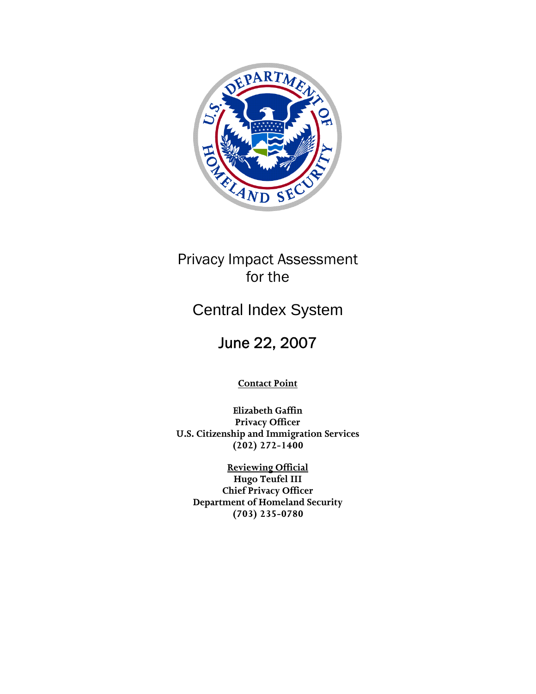

# Privacy Impact Assessment for the

# Central Index System

# June 22, 2007

**Contact Point**

**Elizabeth Gaffin Privacy Officer U.S. Citizenship and Immigration Services (202) 272-1400** 

**Reviewing Official Hugo Teufel III Chief Privacy Officer Department of Homeland Security (703) 235-0780**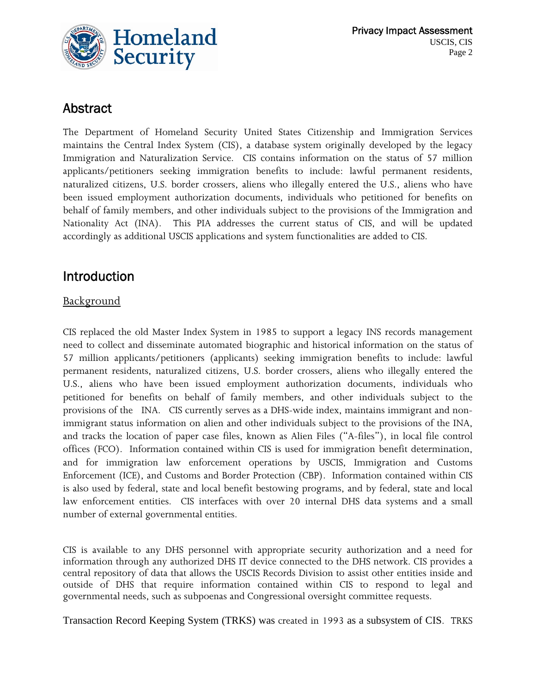

#### Abstract

The Department of Homeland Security United States Citizenship and Immigration Services maintains the Central Index System (CIS), a database system originally developed by the legacy Immigration and Naturalization Service. CIS contains information on the status of 57 million applicants/petitioners seeking immigration benefits to include: lawful permanent residents, naturalized citizens, U.S. border crossers, aliens who illegally entered the U.S., aliens who have been issued employment authorization documents, individuals who petitioned for benefits on behalf of family members, and other individuals subject to the provisions of the Immigration and Nationality Act (INA). This PIA addresses the current status of CIS, and will be updated accordingly as additional USCIS applications and system functionalities are added to CIS.

#### Introduction

#### **Background**

CIS replaced the old Master Index System in 1985 to support a legacy INS records management need to collect and disseminate automated biographic and historical information on the status of 57 million applicants/petitioners (applicants) seeking immigration benefits to include: lawful permanent residents, naturalized citizens, U.S. border crossers, aliens who illegally entered the U.S., aliens who have been issued employment authorization documents, individuals who petitioned for benefits on behalf of family members, and other individuals subject to the provisions of the INA. CIS currently serves as a DHS-wide index, maintains immigrant and nonimmigrant status information on alien and other individuals subject to the provisions of the INA, and tracks the location of paper case files, known as Alien Files ("A-files"), in local file control offices (FCO). Information contained within CIS is used for immigration benefit determination, and for immigration law enforcement operations by USCIS, Immigration and Customs Enforcement (ICE), and Customs and Border Protection (CBP). Information contained within CIS is also used by federal, state and local benefit bestowing programs, and by federal, state and local law enforcement entities. CIS interfaces with over 20 internal DHS data systems and a small number of external governmental entities.

CIS is available to any DHS personnel with appropriate security authorization and a need for information through any authorized DHS IT device connected to the DHS network. CIS provides a central repository of data that allows the USCIS Records Division to assist other entities inside and outside of DHS that require information contained within CIS to respond to legal and governmental needs, such as subpoenas and Congressional oversight committee requests.

Transaction Record Keeping System (TRKS) was created in 1993 as a subsystem of CIS. TRKS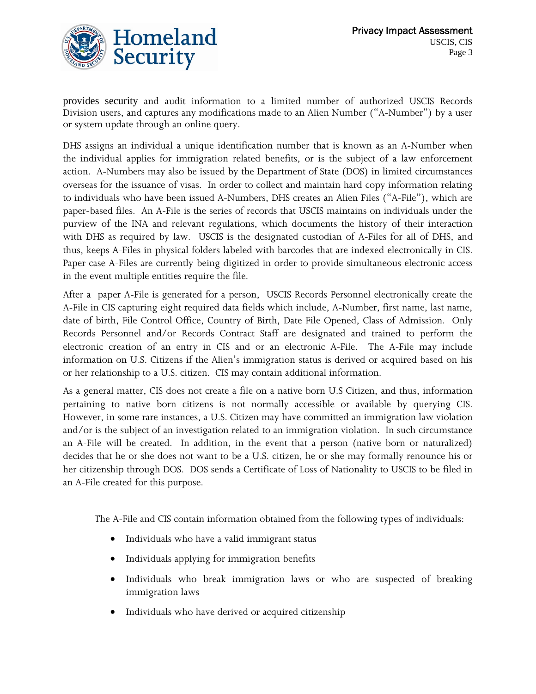

provides security and audit information to a limited number of authorized USCIS Records Division users, and captures any modifications made to an Alien Number ("A-Number") by a user or system update through an online query.

DHS assigns an individual a unique identification number that is known as an A-Number when the individual applies for immigration related benefits, or is the subject of a law enforcement action. A-Numbers may also be issued by the Department of State (DOS) in limited circumstances overseas for the issuance of visas. In order to collect and maintain hard copy information relating to individuals who have been issued A-Numbers, DHS creates an Alien Files ("A-File"), which are paper-based files. An A-File is the series of records that USCIS maintains o[n individuals](http://10.60.17.9/roh/ROH_WEB/Part_II/AFILE_BASICS/#Who_Gets_an_AFILE) under the purview of the INA and relevant regulations, which documents the history of their interaction with DHS as required by law. USCIS is the designated custodian of A-Files for all of DHS, and thus, keeps A-Files in physical folders labeled with barcodes that are indexed electronically in CIS. Paper case A-Files are currently being digitized in order to provide simultaneous electronic access in the event multiple entities require the file.

After a paper A-File is generated for a person, USCIS Records Personnel electronically create the A-File in CIS capturing eight required data fields which include, A-Number, first name, last name, date of birth, File Control Office, Country of Birth, Date File Opened, Class of Admission. Only Records Personnel and/or Records Contract Staff are designated and trained to perform the electronic creation of an entry in CIS and or an electronic A-File. The A-File may include information on U.S. Citizens if the Alien's immigration status is [derive](http://10.60.17.9/dictionary/dictionary.asp)d or [acquired](http://10.60.17.9/dictionary/dictionary.asp) based on his or her relationship to a U.S. citizen. CIS may contain additional information.

As a general matter, CIS does not create a file on a native born U.S Citizen, and thus, information pertaining to native born citizens is not normally accessible or available by querying CIS. However, in some rare instances, a U.S. Citizen may have committed an immigration law violation and/or is the subject of an investigation related to an immigration violation. In such circumstance an A-File will be created. In addition, in the event that a person (native born or naturalized) decides that he or she does not want to be a U.S. citizen, he or she may formally renounce his or her citizenship through DOS. DOS sends a Certificate of Loss of Nationality to USCIS to be filed in an A-File created for this purpose.

The A-File and CIS contain information obtained from the following types of individuals:

- Individuals who have a valid immigrant status
- Individuals applying for immigration benefits
- Individuals who break immigration laws or who are suspected of breaking immigration laws
- Individuals who have derived or acquired citizenship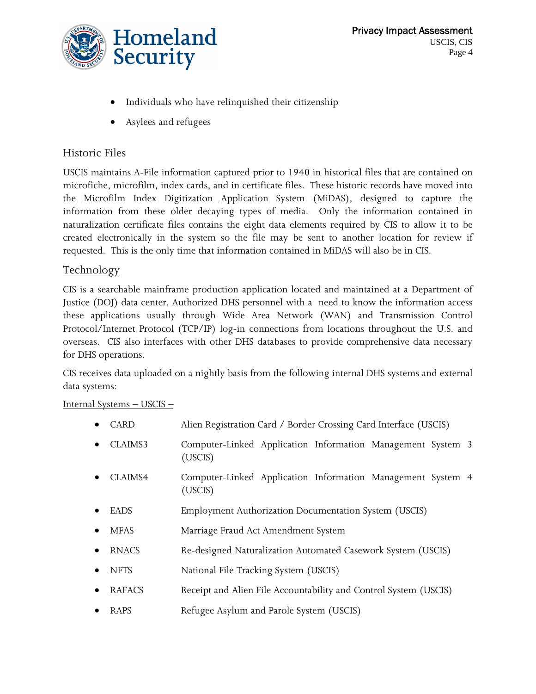

- Individuals who have relinquished their citizenship
- Asylees and refugees

#### Historic Files

USCIS maintains A-File information captured prior to 1940 in historical files that are contained on microfiche, microfilm, index cards, and in certificate files. These historic records have moved into the Microfilm Index Digitization Application System (MiDAS), designed to capture the information from these older decaying types of media. Only the information contained in naturalization certificate files contains the eight data elements required by CIS to allow it to be created electronically in the system so the file may be sent to another location for review if requested. This is the only time that information contained in MiDAS will also be in CIS.

#### Technology

CIS is a searchable mainframe production application located and maintained at a Department of Justice (DOJ) data center. Authorized DHS personnel with a need to know the information access these applications usually through Wide Area Network (WAN) and Transmission Control Protocol/Internet Protocol (TCP/IP) log-in connections from locations throughout the U.S. and overseas. CIS also interfaces with other DHS databases to provide comprehensive data necessary for DHS operations.

CIS receives data uploaded on a nightly basis from the following internal DHS systems and external data systems:

#### Internal Systems – USCIS –

- CARD Alien Registration Card / Border Crossing Card Interface (USCIS)
- CLAIMS3 Computer-Linked Application Information Management System 3 (USCIS)
- CLAIMS4 Computer-Linked Application Information Management System 4 (USCIS)
- EADS Employment Authorization Documentation System (USCIS)
- MFAS Marriage Fraud Act Amendment System
- RNACS Re-designed Naturalization Automated Casework System (USCIS)
- NFTS National File Tracking System (USCIS)
- RAFACS Receipt and Alien File Accountability and Control System (USCIS)
- RAPS **Refugee Asylum and Parole System (USCIS)**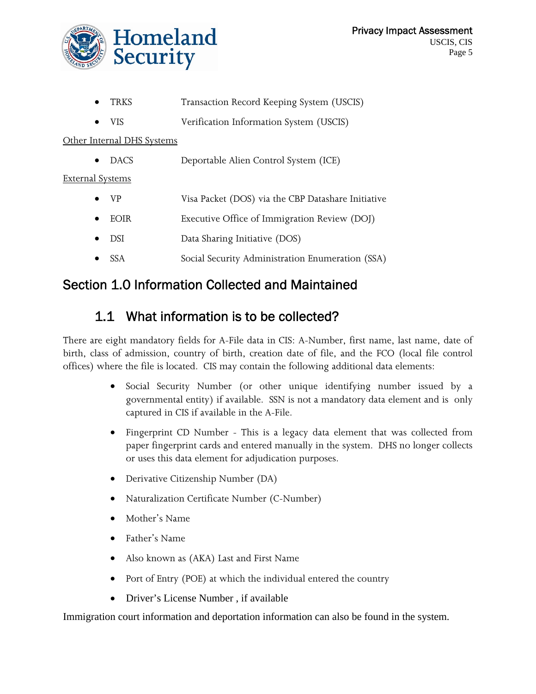

- TRKS Transaction Record Keeping System (USCIS)
- VIS Verification Information System (USCIS)

Other Internal DHS Systems

• DACS Deportable Alien Control System (ICE)

External Systems

- VP Visa Packet (DOS) via the CBP Datashare Initiative
- EOIR Executive Office of Immigration Review (DOJ)
- DSI Data Sharing Initiative (DOS)
- SSA Social Security Administration Enumeration (SSA)

#### Section 1.0 Information Collected and Maintained

### 1.1 What information is to be collected?

There are eight mandatory fields for A-File data in CIS: A-Number, first name, last name, date of birth, class of admission, country of birth, creation date of file, and the FCO (local file control offices) where the file is located. CIS may contain the following additional data elements:

- Social Security Number (or other unique identifying number issued by a governmental entity) if available. SSN is not a mandatory data element and is only captured in CIS if available in the A-File.
- Fingerprint CD Number This is a legacy data element that was collected from paper fingerprint cards and entered manually in the system. DHS no longer collects or uses this data element for adjudication purposes.
- Derivative Citizenship Number (DA)
- Naturalization Certificate Number (C-Number)
- Mother's Name
- Father's Name
- Also known as (AKA) Last and First Name
- Port of Entry (POE) at which the individual entered the country
- Driver's License Number , if available

Immigration court information and deportation information can also be found in the system.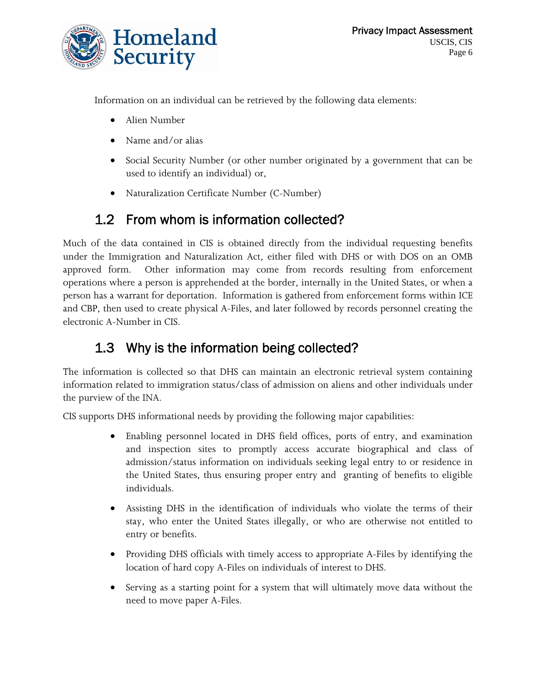

Information on an individual can be retrieved by the following data elements:

- Alien Number
- Name and/or alias
- Social Security Number (or other number originated by a government that can be used to identify an individual) or,
- Naturalization Certificate Number (C-Number)

# 1.2 From whom is information collected?

Much of the data contained in CIS is obtained directly from the individual requesting benefits under the Immigration and Naturalization Act, either filed with DHS or with DOS on an OMB approved form. Other information may come from records resulting from enforcement operations where a person is apprehended at the border, internally in the United States, or when a person has a warrant for deportation. Information is gathered from enforcement forms within ICE and CBP, then used to create physical A-Files, and later followed by records personnel creating the electronic A-Number in CIS.

# 1.3 Why is the information being collected?

The information is collected so that DHS can maintain an electronic retrieval system containing information related to immigration status/class of admission on aliens and other individuals under the purview of the INA.

CIS supports DHS informational needs by providing the following major capabilities:

- Enabling personnel located in DHS field offices, ports of entry, and examination and inspection sites to promptly access accurate biographical and class of admission/status information on individuals seeking legal entry to or residence in the United States, thus ensuring proper entry and granting of benefits to eligible individuals.
- Assisting DHS in the identification of individuals who violate the terms of their stay, who enter the United States illegally, or who are otherwise not entitled to entry or benefits.
- Providing DHS officials with timely access to appropriate A-Files by identifying the location of hard copy A-Files on individuals of interest to DHS.
- Serving as a starting point for a system that will ultimately move data without the need to move paper A-Files.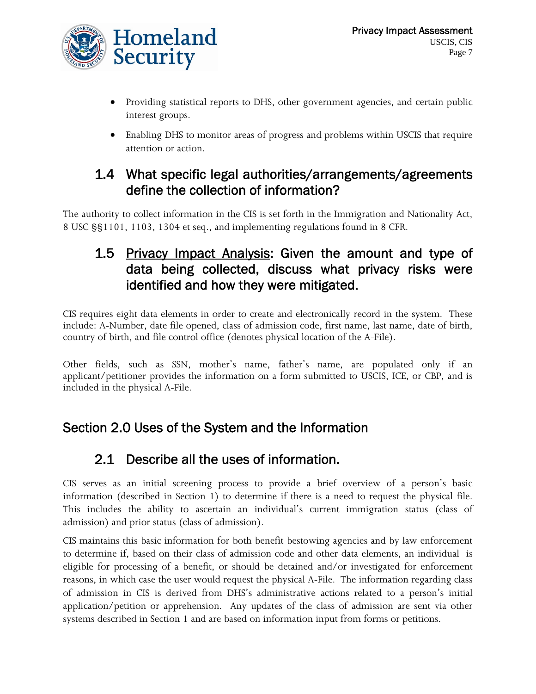

- Providing statistical reports to DHS, other government agencies, and certain public interest groups.
- Enabling DHS to monitor areas of progress and problems within USCIS that require attention or action.

#### 1.4 What specific legal authorities/arrangements/agreements define the collection of information?

The authority to collect information in the CIS is set forth in the Immigration and Nationality Act, 8 USC §§1101, 1103, 1304 et seq., and implementing regulations found in 8 CFR.

### 1.5 Privacy Impact Analysis: Given the amount and type of data being collected, discuss what privacy risks were identified and how they were mitigated.

CIS requires eight data elements in order to create and electronically record in the system. These include: A-Number, date file opened, class of admission code, first name, last name, date of birth, country of birth, and file control office (denotes physical location of the A-File).

Other fields, such as SSN, mother's name, father's name, are populated only if an applicant/petitioner provides the information on a form submitted to USCIS, ICE, or CBP, and is included in the physical A-File.

### Section 2.0 Uses of the System and the Information

# 2.1 Describe all the uses of information.

CIS serves as an initial screening process to provide a brief overview of a person's basic information (described in Section 1) to determine if there is a need to request the physical file. This includes the ability to ascertain an individual's current immigration status (class of admission) and prior status (class of admission).

CIS maintains this basic information for both benefit bestowing agencies and by law enforcement to determine if, based on their class of admission code and other data elements, an individual is eligible for processing of a benefit, or should be detained and/or investigated for enforcement reasons, in which case the user would request the physical A-File. The information regarding class of admission in CIS is derived from DHS's administrative actions related to a person's initial application/petition or apprehension. Any updates of the class of admission are sent via other systems described in Section 1 and are based on information input from forms or petitions.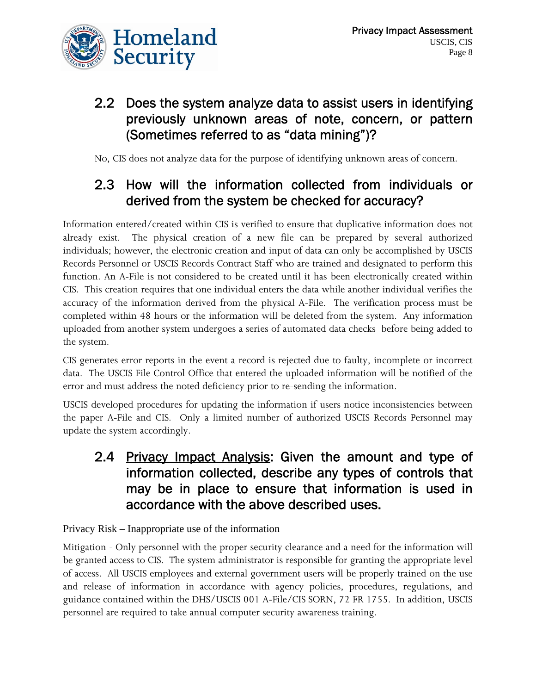

#### 2.2 Does the system analyze data to assist users in identifying previously unknown areas of note, concern, or pattern (Sometimes referred to as "data mining")?

No, CIS does not analyze data for the purpose of identifying unknown areas of concern.

### 2.3 How will the information collected from individuals or derived from the system be checked for accuracy?

Information entered/created within CIS is verified to ensure that duplicative information does not already exist. The physical creation of a new file can be prepared by several authorized individuals; however, the electronic creation and input of data can only be accomplished by USCIS Records Personnel or USCIS Records Contract Staff who are trained and designated to perform this function. An A-File is not considered to be created until it has been electronically created within CIS. This creation requires that one individual enters the data while another individual verifies the accuracy of the information derived from the physical A-File. The verification process must be completed within 48 hours or the information will be deleted from the system. Any information uploaded from another system undergoes a series of automated data checks before being added to the system.

CIS generates error reports in the event a record is rejected due to faulty, incomplete or incorrect data. The USCIS File Control Office that entered the uploaded information will be notified of the error and must address the noted deficiency prior to re-sending the information.

USCIS developed procedures for updating the information if users notice inconsistencies between the paper A-File and CIS. Only a limited number of authorized USCIS Records Personnel may update the system accordingly.

#### 2.4 Privacy Impact Analysis: Given the amount and type of information collected, describe any types of controls that may be in place to ensure that information is used in accordance with the above described uses.

#### Privacy Risk – Inappropriate use of the information

Mitigation - Only personnel with the proper security clearance and a need for the information will be granted access to CIS. The system administrator is responsible for granting the appropriate level of access. All USCIS employees and external government users will be properly trained on the use and release of information in accordance with agency policies, procedures, regulations, and guidance contained within the DHS/USCIS 001 A-File/CIS SORN, 72 FR 1755. In addition, USCIS personnel are required to take annual computer security awareness training.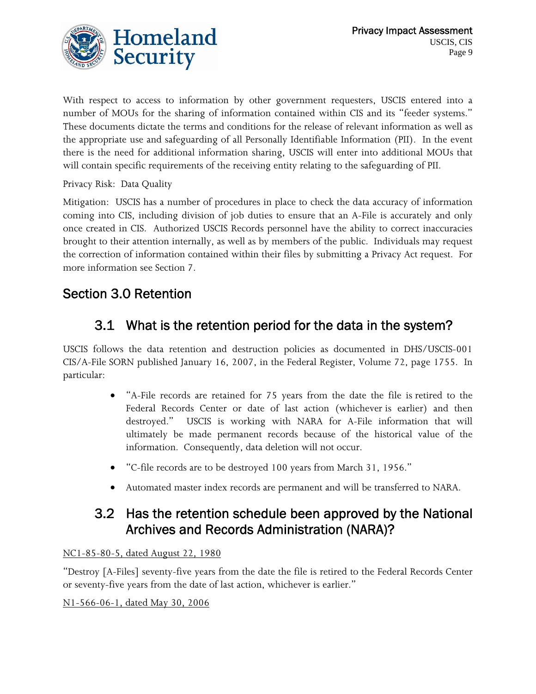

With respect to access to information by other government requesters, USCIS entered into a number of MOUs for the sharing of information contained within CIS and its "feeder systems." These documents dictate the terms and conditions for the release of relevant information as well as the appropriate use and safeguarding of all Personally Identifiable Information (PII). In the event there is the need for additional information sharing, USCIS will enter into additional MOUs that will contain specific requirements of the receiving entity relating to the safeguarding of PII.

Privacy Risk: Data Quality

Mitigation: USCIS has a number of procedures in place to check the data accuracy of information coming into CIS, including division of job duties to ensure that an A-File is accurately and only once created in CIS. Authorized USCIS Records personnel have the ability to correct inaccuracies brought to their attention internally, as well as by members of the public. Individuals may request the correction of information contained within their files by submitting a Privacy Act request. For more information see Section 7.

#### Section 3.0 Retention

## 3.1 What is the retention period for the data in the system?

USCIS follows the data retention and destruction policies as documented in DHS/USCIS-001 CIS/A-File SORN published January 16, 2007, in the Federal Register, Volume 72, page 1755. In particular:

- "A-File records are retained for 75 years from the date the file is retired to the Federal Records Center or date of last action (whichever is earlier) and then destroyed." USCIS is working with NARA for A-File information that will ultimately be made permanent records because of the historical value of the information. Consequently, data deletion will not occur.
- "C-file records are to be destroyed 100 years from March 31, 1956."
- Automated master index records are permanent and will be transferred to NARA.

#### 3.2 Has the retention schedule been approved by the National Archives and Records Administration (NARA)?

#### NC1-85-80-5, dated August 22, 1980

"Destroy [A-Files] seventy-five years from the date the file is retired to the Federal Records Center or seventy-five years from the date of last action, whichever is earlier."

N1-566-06-1, dated May 30, 2006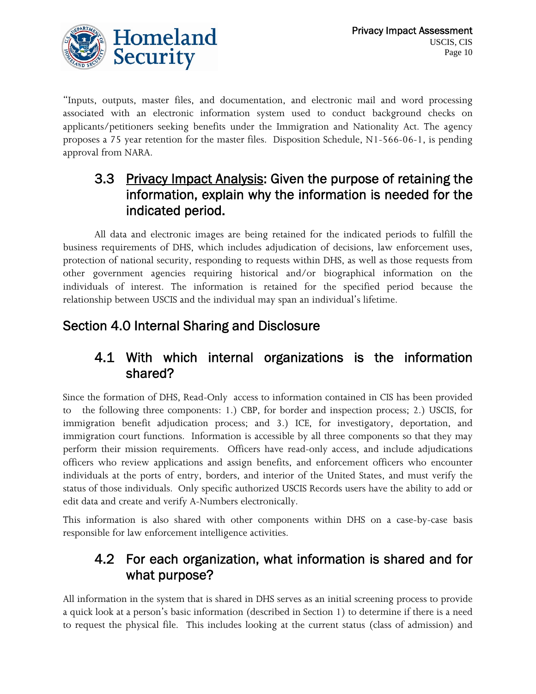

"Inputs, outputs, master files, and documentation, and electronic mail and word processing associated with an electronic information system used to conduct background checks on applicants/petitioners seeking benefits under the Immigration and Nationality Act. The agency proposes a 75 year retention for the master files. Disposition Schedule, N1-566-06-1, is pending approval from NARA.

#### 3.3 Privacy Impact Analysis: Given the purpose of retaining the information, explain why the information is needed for the indicated period.

All data and electronic images are being retained for the indicated periods to fulfill the business requirements of DHS, which includes adjudication of decisions, law enforcement uses, protection of national security, responding to requests within DHS, as well as those requests from other government agencies requiring historical and/or biographical information on the individuals of interest. The information is retained for the specified period because the relationship between USCIS and the individual may span an individual's lifetime.

## Section 4.0 Internal Sharing and Disclosure

#### 4.1 With which internal organizations is the information shared?

Since the formation of DHS, Read-Only access to information contained in CIS has been provided to the following three components: 1.) CBP, for border and inspection process; 2.) USCIS, for immigration benefit adjudication process; and 3.) ICE, for investigatory, deportation, and immigration court functions. Information is accessible by all three components so that they may perform their mission requirements. Officers have read-only access, and include adjudications officers who review applications and assign benefits, and enforcement officers who encounter individuals at the ports of entry, borders, and interior of the United States, and must verify the status of those individuals. Only specific authorized USCIS Records users have the ability to add or edit data and create and verify A-Numbers electronically.

This information is also shared with other components within DHS on a case-by-case basis responsible for law enforcement intelligence activities.

#### 4.2 For each organization, what information is shared and for what purpose?

All information in the system that is shared in DHS serves as an initial screening process to provide a quick look at a person's basic information (described in Section 1) to determine if there is a need to request the physical file. This includes looking at the current status (class of admission) and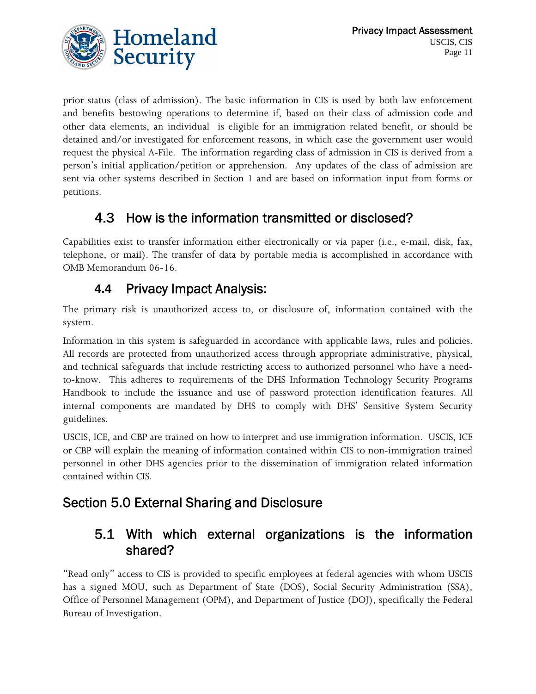prior status (class of admission). The basic information in CIS is used by both law enforcement and benefits bestowing operations to determine if, based on their class of admission code and other data elements, an individual is eligible for an immigration related benefit, or should be detained and/or investigated for enforcement reasons, in which case the government user would request the physical A-File. The information regarding class of admission in CIS is derived from a person's initial application/petition or apprehension. Any updates of the class of admission are sent via other systems described in Section 1 and are based on information input from forms or petitions.

# 4.3 How is the information transmitted or disclosed?

Capabilities exist to transfer information either electronically or via paper (i.e., e-mail, disk, fax, telephone, or mail). The transfer of data by portable media is accomplished in accordance with OMB Memorandum 06-16.

### **4.4** Privacy Impact Analysis:

The primary risk is unauthorized access to, or disclosure of, information contained with the system.

Information in this system is safeguarded in accordance with applicable laws, rules and policies. All records are protected from unauthorized access through appropriate administrative, physical, and technical safeguards that include restricting access to authorized personnel who have a needto-know. This adheres to requirements of the DHS Information Technology Security Programs Handbook to include the issuance and use of password protection identification features. All internal components are mandated by DHS to comply with DHS' Sensitive System Security guidelines.

USCIS, ICE, and CBP are trained on how to interpret and use immigration information. USCIS, ICE or CBP will explain the meaning of information contained within CIS to non-immigration trained personnel in other DHS agencies prior to the dissemination of immigration related information contained within CIS.

# Section 5.0 External Sharing and Disclosure

### 5.1 With which external organizations is the information shared?

"Read only" access to CIS is provided to specific employees at federal agencies with whom USCIS has a signed MOU, such as Department of State (DOS), Social Security Administration (SSA), Office of Personnel Management (OPM), and Department of Justice (DOJ), specifically the Federal Bureau of Investigation.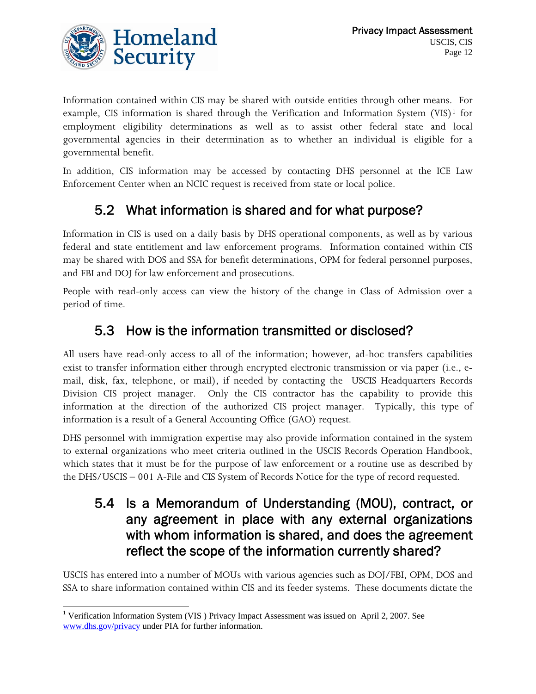

Information contained within CIS may be shared with outside entities through other means. For example, CIS information is shared through the Verification and Information System  $(VIS)^1$  $(VIS)^1$  for employment eligibility determinations as well as to assist other federal state and local governmental agencies in their determination as to whether an individual is eligible for a governmental benefit.

In addition, CIS information may be accessed by contacting DHS personnel at the ICE Law Enforcement Center when an NCIC request is received from state or local police.

# 5.2 What information is shared and for what purpose?

Information in CIS is used on a daily basis by DHS operational components, as well as by various federal and state entitlement and law enforcement programs. Information contained within CIS may be shared with DOS and SSA for benefit determinations, OPM for federal personnel purposes, and FBI and DOJ for law enforcement and prosecutions.

People with read-only access can view the history of the change in Class of Admission over a period of time.

### 5.3 How is the information transmitted or disclosed?

All users have read-only access to all of the information; however, ad-hoc transfers capabilities exist to transfer information either through encrypted electronic transmission or via paper (i.e., email, disk, fax, telephone, or mail), if needed by contacting the USCIS Headquarters Records Division CIS project manager. Only the CIS contractor has the capability to provide this information at the direction of the authorized CIS project manager. Typically, this type of information is a result of a General Accounting Office (GAO) request.

DHS personnel with immigration expertise may also provide information contained in the system to external organizations who meet criteria outlined in the USCIS Records Operation Handbook, which states that it must be for the purpose of law enforcement or a routine use as described by the DHS/USCIS – 001 A-File and CIS System of Records Notice for the type of record requested.

#### 5.4 Is a Memorandum of Understanding (MOU), contract, or any agreement in place with any external organizations with whom information is shared, and does the agreement reflect the scope of the information currently shared?

USCIS has entered into a number of MOUs with various agencies such as DOJ/FBI, OPM, DOS and SSA to share information contained within CIS and its feeder systems. These documents dictate the

 $\overline{a}$ 

<span id="page-11-0"></span><sup>&</sup>lt;sup>1</sup> Verification Information System (VIS) Privacy Impact Assessment was issued on April 2, 2007. See [www.dhs.gov/privacy](http://www.dhs.gov/privacy) under PIA for further information.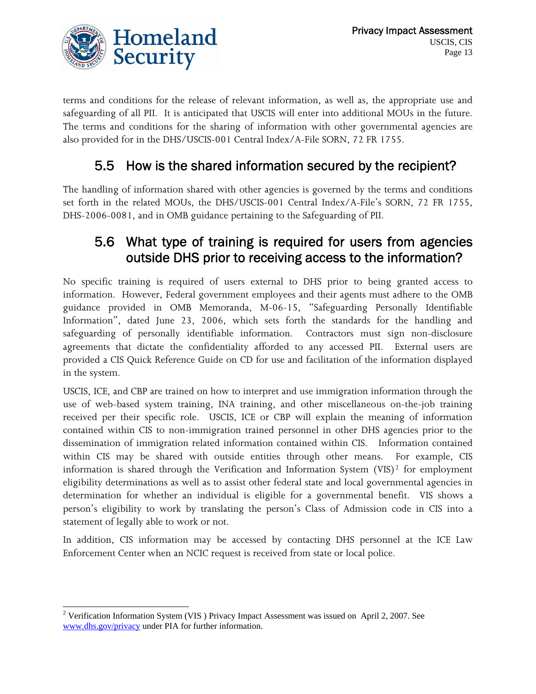

terms and conditions for the release of relevant information, as well as, the appropriate use and safeguarding of all PII. It is anticipated that USCIS will enter into additional MOUs in the future. The terms and conditions for the sharing of information with other governmental agencies are also provided for in the DHS/USCIS-001 Central Index/A-File SORN, 72 FR 1755.

### 5.5 How is the shared information secured by the recipient?

The handling of information shared with other agencies is governed by the terms and conditions set forth in the related MOUs, the DHS/USCIS-001 Central Index/A-File's SORN, 72 FR 1755, DHS-2006-0081, and in OMB guidance pertaining to the Safeguarding of PII.

#### 5.6 What type of training is required for users from agencies outside DHS prior to receiving access to the information?

No specific training is required of users external to DHS prior to being granted access to information. However, Federal government employees and their agents must adhere to the OMB guidance provided in OMB Memoranda, M-06-15, "Safeguarding Personally Identifiable Information", dated June 23, 2006, which sets forth the standards for the handling and safeguarding of personally identifiable information. Contractors must sign non-disclosure agreements that dictate the confidentiality afforded to any accessed PII. External users are provided a CIS Quick Reference Guide on CD for use and facilitation of the information displayed in the system.

USCIS, ICE, and CBP are trained on how to interpret and use immigration information through the use of web-based system training, INA training, and other miscellaneous on-the-job training received per their specific role. USCIS, ICE or CBP will explain the meaning of information contained within CIS to non-immigration trained personnel in other DHS agencies prior to the dissemination of immigration related information contained within CIS. Information contained within CIS may be shared with outside entities through other means. For example, CIS information is shared through the Verification and Information System (VIS)<sup>[2](#page-12-0)</sup> for employment eligibility determinations as well as to assist other federal state and local governmental agencies in determination for whether an individual is eligible for a governmental benefit. VIS shows a person's eligibility to work by translating the person's Class of Admission code in CIS into a statement of legally able to work or not.

In addition, CIS information may be accessed by contacting DHS personnel at the ICE Law Enforcement Center when an NCIC request is received from state or local police.

 $\overline{a}$ 

<span id="page-12-0"></span><sup>&</sup>lt;sup>2</sup> Verification Information System (VIS) Privacy Impact Assessment was issued on April 2, 2007. See [www.dhs.gov/privacy](http://www.dhs.gov/privacy) under PIA for further information.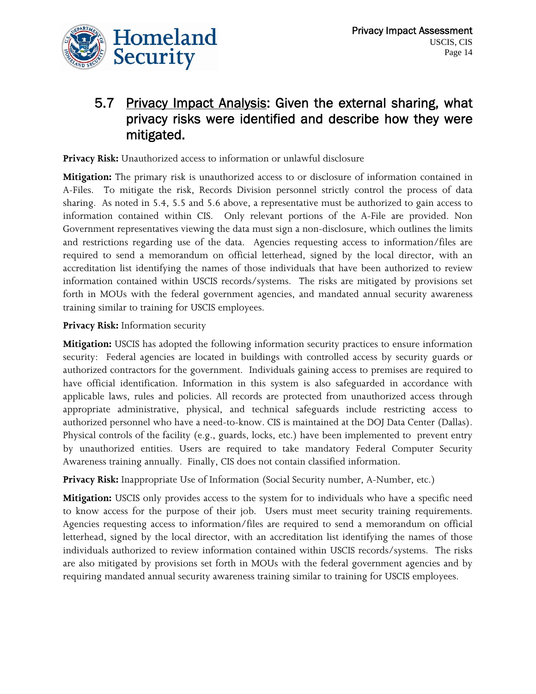

### 5.7 Privacy Impact Analysis: Given the external sharing, what privacy risks were identified and describe how they were mitigated.

**Privacy Risk:** Unauthorized access to information or unlawful disclosure

**Mitigation:** The primary risk is unauthorized access to or disclosure of information contained in A-Files. To mitigate the risk, Records Division personnel strictly control the process of data sharing. As noted in 5.4, 5.5 and 5.6 above, a representative must be authorized to gain access to information contained within CIS. Only relevant portions of the A-File are provided. Non Government representatives viewing the data must sign a non-disclosure, which outlines the limits and restrictions regarding use of the data. Agencies requesting access to information/files are required to send a memorandum on official letterhead, signed by the local director, with an accreditation list identifying the names of those individuals that have been authorized to review information contained within USCIS records/systems. The risks are mitigated by provisions set forth in MOUs with the federal government agencies, and mandated annual security awareness training similar to training for USCIS employees.

#### **Privacy Risk:** Information security

**Mitigation:** USCIS has adopted the following information security practices to ensure information security: Federal agencies are located in buildings with controlled access by security guards or authorized contractors for the government. Individuals gaining access to premises are required to have official identification. Information in this system is also safeguarded in accordance with applicable laws, rules and policies. All records are protected from unauthorized access through appropriate administrative, physical, and technical safeguards include restricting access to authorized personnel who have a need-to-know. CIS is maintained at the DOJ Data Center (Dallas). Physical controls of the facility (e.g., guards, locks, etc.) have been implemented to prevent entry by unauthorized entities. Users are required to take mandatory Federal Computer Security Awareness training annually. Finally, CIS does not contain classified information.

**Privacy Risk:** Inappropriate Use of Information (Social Security number, A-Number, etc.)

**Mitigation:** USCIS only provides access to the system for to individuals who have a specific need to know access for the purpose of their job. Users must meet security training requirements. Agencies requesting access to information/files are required to send a memorandum on official letterhead, signed by the local director, with an accreditation list identifying the names of those individuals authorized to review information contained within USCIS records/systems. The risks are also mitigated by provisions set forth in MOUs with the federal government agencies and by requiring mandated annual security awareness training similar to training for USCIS employees.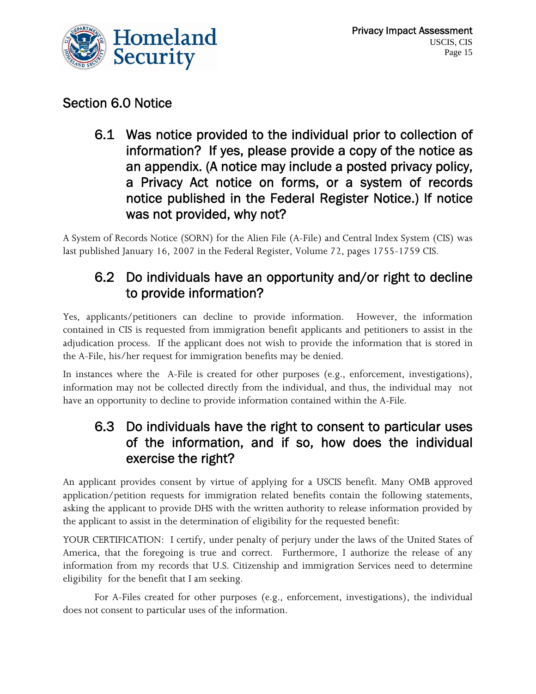

#### Section 6.0 Notice

6.1 Was notice provided to the individual prior to collection of information? If yes, please provide a copy of the notice as an appendix. (A notice may include a posted privacy policy, a Privacy Act notice on forms, or a system of records notice published in the Federal Register Notice.) If notice was not provided, why not?

A System of Records Notice (SORN) for the Alien File (A-File) and Central Index System (CIS) was last published January 16, 2007 in the Federal Register, Volume 72, pages 1755-1759 CIS.

#### 6.2 Do individuals have an opportunity and/or right to decline to provide information?

Yes, applicants/petitioners can decline to provide information. However, the information contained in CIS is requested from immigration benefit applicants and petitioners to assist in the adjudication process. If the applicant does not wish to provide the information that is stored in the A-File, his/her request for immigration benefits may be denied.

In instances where the A-File is created for other purposes (e.g., enforcement, investigations), information may not be collected directly from the individual, and thus, the individual may not have an opportunity to decline to provide information contained within the A-File.

#### 6.3 Do individuals have the right to consent to particular uses of the information, and if so, how does the individual exercise the right?

An applicant provides consent by virtue of applying for a USCIS benefit. Many OMB approved application/petition requests for immigration related benefits contain the following statements, asking the applicant to provide DHS with the written authority to release information provided by the applicant to assist in the determination of eligibility for the requested benefit:

YOUR CERTIFICATION: I certify, under penalty of perjury under the laws of the United States of America, that the foregoing is true and correct. Furthermore, I authorize the release of any information from my records that U.S. Citizenship and immigration Services need to determine eligibility for the benefit that I am seeking.

For A-Files created for other purposes (e.g., enforcement, investigations), the individual does not consent to particular uses of the information.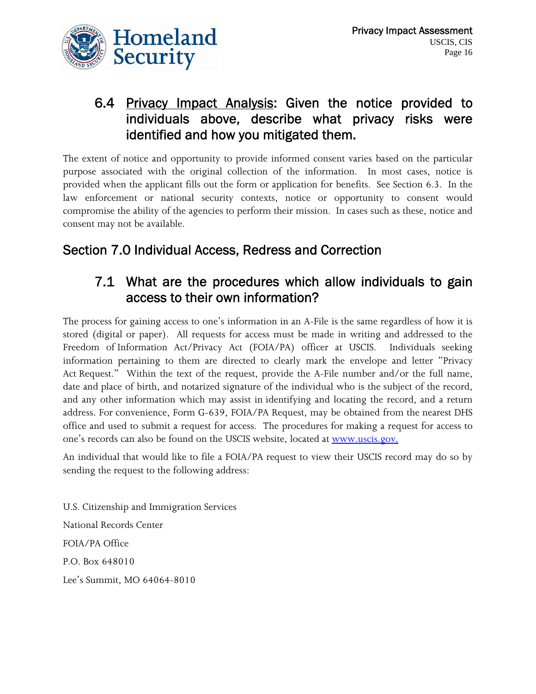

#### 6.4 Privacy Impact Analysis: Given the notice provided to individuals above, describe what privacy risks were identified and how you mitigated them.

The extent of notice and opportunity to provide informed consent varies based on the particular purpose associated with the original collection of the information. In most cases, notice is provided when the applicant fills out the form or application for benefits. See Section 6.3. In the law enforcement or national security contexts, notice or opportunity to consent would compromise the ability of the agencies to perform their mission. In cases such as these, notice and consent may not be available.

### Section 7.0 Individual Access, Redress and Correction

#### 7.1 What are the procedures which allow individuals to gain access to their own information?

The process for gaining access to one's information in an A-File is the same regardless of how it is stored (digital or paper). All requests for access must be made in writing and addressed to the Freedom of Information Act/Privacy Act (FOIA/PA) officer at USCIS. Individuals seeking information pertaining to them are directed to clearly mark the envelope and letter "Privacy Act Request." Within the text of the request, provide the A-File number and/or the full name, date and place of birth, and notarized signature of the individual who is the subject of the record, and any other information which may assist in identifying and locating the record, and a return address. For convenience, Form G-639, FOIA/PA Request, may be obtained from the nearest DHS office and used to submit a request for access. The procedures for making a request for access to one's records can also be found on the USCIS website, located at [www.uscis.gov.](http://www.uscis.gov/)

An individual that would like to file a FOIA/PA request to view their USCIS record may do so by sending the request to the following address:

U.S. Citizenship and Immigration Services National Records Center FOIA/PA Office P.O. Box 648010 Lee's Summit, MO 64064-8010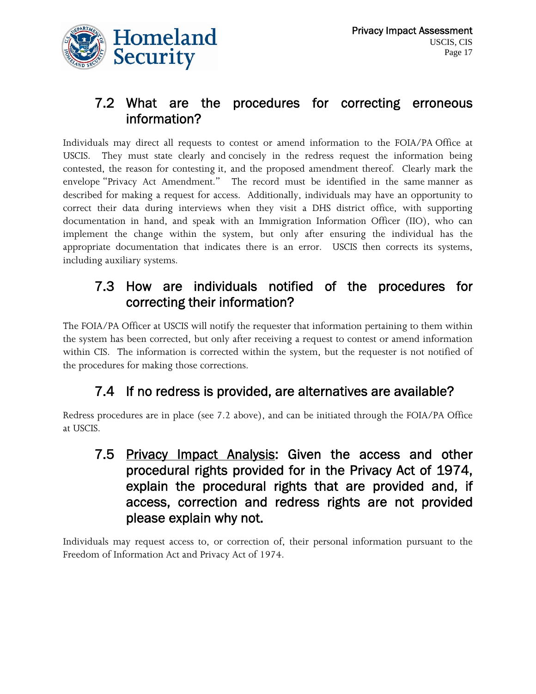

#### 7.2 What are the procedures for correcting erroneous information?

Individuals may direct all requests to contest or amend information to the FOIA/PA Office at USCIS. They must state clearly and concisely in the redress request the information being contested, the reason for contesting it, and the proposed amendment thereof. Clearly mark the envelope "Privacy Act Amendment." The record must be identified in the same manner as described for making a request for access. Additionally, individuals may have an opportunity to correct their data during interviews when they visit a DHS district office, with supporting documentation in hand, and speak with an Immigration Information Officer (IIO), who can implement the change within the system, but only after ensuring the individual has the appropriate documentation that indicates there is an error. USCIS then corrects its systems, including auxiliary systems.

#### 7.3 How are individuals notified of the procedures for correcting their information?

The FOIA/PA Officer at USCIS will notify the requester that information pertaining to them within the system has been corrected, but only after receiving a request to contest or amend information within CIS. The information is corrected within the system, but the requester is not notified of the procedures for making those corrections.

### 7.4 If no redress is provided, are alternatives are available?

Redress procedures are in place (see 7.2 above), and can be initiated through the FOIA/PA Office at USCIS.

7.5 Privacy Impact Analysis: Given the access and other procedural rights provided for in the Privacy Act of 1974, explain the procedural rights that are provided and, if access, correction and redress rights are not provided please explain why not.

Individuals may request access to, or correction of, their personal information pursuant to the Freedom of Information Act and Privacy Act of 1974.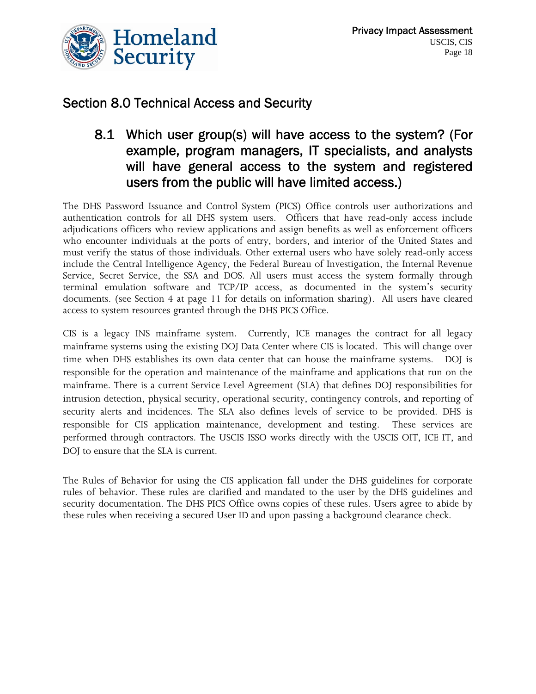

#### Section 8.0 Technical Access and Security

#### 8.1 Which user group(s) will have access to the system? (For example, program managers, IT specialists, and analysts will have general access to the system and registered users from the public will have limited access.)

The DHS Password Issuance and Control System (PICS) Office controls user authorizations and authentication controls for all DHS system users. Officers that have read-only access include adjudications officers who review applications and assign benefits as well as enforcement officers who encounter individuals at the ports of entry, borders, and interior of the United States and must verify the status of those individuals. Other external users who have solely read-only access include the Central Intelligence Agency, the Federal Bureau of Investigation, the Internal Revenue Service, Secret Service, the SSA and DOS. All users must access the system formally through terminal emulation software and TCP/IP access, as documented in the system's security documents. (see Section 4 at page 11 for details on information sharing). All users have cleared access to system resources granted through the DHS PICS Office.

CIS is a legacy INS mainframe system. Currently, ICE manages the contract for all legacy mainframe systems using the existing DOJ Data Center where CIS is located. This will change over time when DHS establishes its own data center that can house the mainframe systems. DOJ is responsible for the operation and maintenance of the mainframe and applications that run on the mainframe. There is a current Service Level Agreement (SLA) that defines DOJ responsibilities for intrusion detection, physical security, operational security, contingency controls, and reporting of security alerts and incidences. The SLA also defines levels of service to be provided. DHS is responsible for CIS application maintenance, development and testing. These services are performed through contractors. The USCIS ISSO works directly with the USCIS OIT, ICE IT, and DOJ to ensure that the SLA is current.

The Rules of Behavior for using the CIS application fall under the DHS guidelines for corporate rules of behavior. These rules are clarified and mandated to the user by the DHS guidelines and security documentation. The DHS PICS Office owns copies of these rules. Users agree to abide by these rules when receiving a secured User ID and upon passing a background clearance check.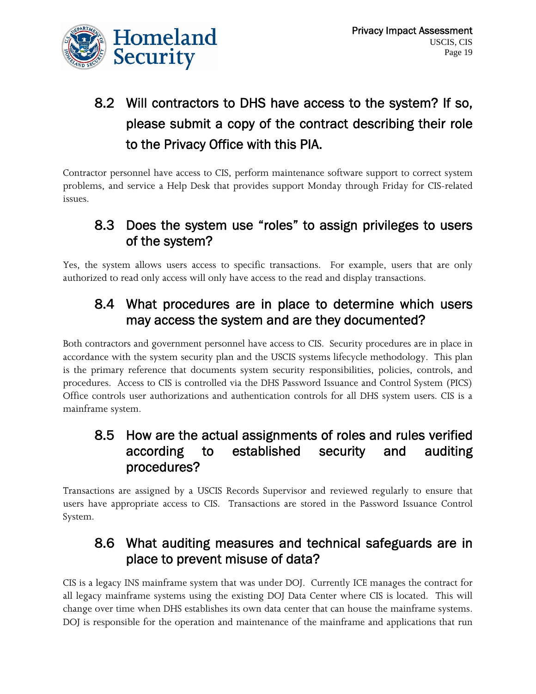

# 8.2 Will contractors to DHS have access to the system? If so, please submit a copy of the contract describing their role to the Privacy Office with this PIA.

Contractor personnel have access to CIS, perform maintenance software support to correct system problems, and service a Help Desk that provides support Monday through Friday for CIS-related issues.

### 8.3 Does the system use "roles" to assign privileges to users of the system?

Yes, the system allows users access to specific transactions. For example, users that are only authorized to read only access will only have access to the read and display transactions.

### 8.4 What procedures are in place to determine which users may access the system and are they documented?

Both contractors and government personnel have access to CIS. Security procedures are in place in accordance with the system security plan and the USCIS systems lifecycle methodology. This plan is the primary reference that documents system security responsibilities, policies, controls, and procedures. Access to CIS is controlled via the DHS Password Issuance and Control System (PICS) Office controls user authorizations and authentication controls for all DHS system users. CIS is a mainframe system.

#### 8.5 How are the actual assignments of roles and rules verified according to established security and auditing procedures?

Transactions are assigned by a USCIS Records Supervisor and reviewed regularly to ensure that users have appropriate access to CIS. Transactions are stored in the Password Issuance Control System.

#### 8.6 What auditing measures and technical safeguards are in place to prevent misuse of data?

CIS is a legacy INS mainframe system that was under DOJ. Currently ICE manages the contract for all legacy mainframe systems using the existing DOJ Data Center where CIS is located. This will change over time when DHS establishes its own data center that can house the mainframe systems. DOJ is responsible for the operation and maintenance of the mainframe and applications that run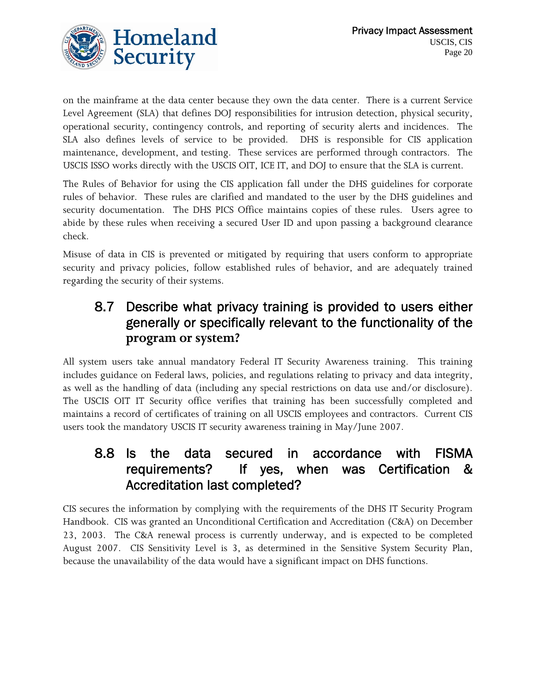

on the mainframe at the data center because they own the data center. There is a current Service Level Agreement (SLA) that defines DOJ responsibilities for intrusion detection, physical security, operational security, contingency controls, and reporting of security alerts and incidences. The SLA also defines levels of service to be provided. DHS is responsible for CIS application maintenance, development, and testing. These services are performed through contractors. The USCIS ISSO works directly with the USCIS OIT, ICE IT, and DOJ to ensure that the SLA is current.

The Rules of Behavior for using the CIS application fall under the DHS guidelines for corporate rules of behavior. These rules are clarified and mandated to the user by the DHS guidelines and security documentation. The DHS PICS Office maintains copies of these rules. Users agree to abide by these rules when receiving a secured User ID and upon passing a background clearance check.

Misuse of data in CIS is prevented or mitigated by requiring that users conform to appropriate security and privacy policies, follow established rules of behavior, and are adequately trained regarding the security of their systems.

#### 8.7 Describe what privacy training is provided to users either generally or specifically relevant to the functionality of the **program or system?**

All system users take annual mandatory Federal IT Security Awareness training. This training includes guidance on Federal laws, policies, and regulations relating to privacy and data integrity, as well as the handling of data (including any special restrictions on data use and/or disclosure). The USCIS OIT IT Security office verifies that training has been successfully completed and maintains a record of certificates of training on all USCIS employees and contractors. Current CIS users took the mandatory USCIS IT security awareness training in May/June 2007.

#### 8.8 Is the data secured in accordance with FISMA requirements? If yes, when was Certification & Accreditation last completed?

CIS secures the information by complying with the requirements of the DHS IT Security Program Handbook. CIS was granted an Unconditional Certification and Accreditation (C&A) on December 23, 2003. The C&A renewal process is currently underway, and is expected to be completed August 2007. CIS Sensitivity Level is 3, as determined in the Sensitive System Security Plan, because the unavailability of the data would have a significant impact on DHS functions.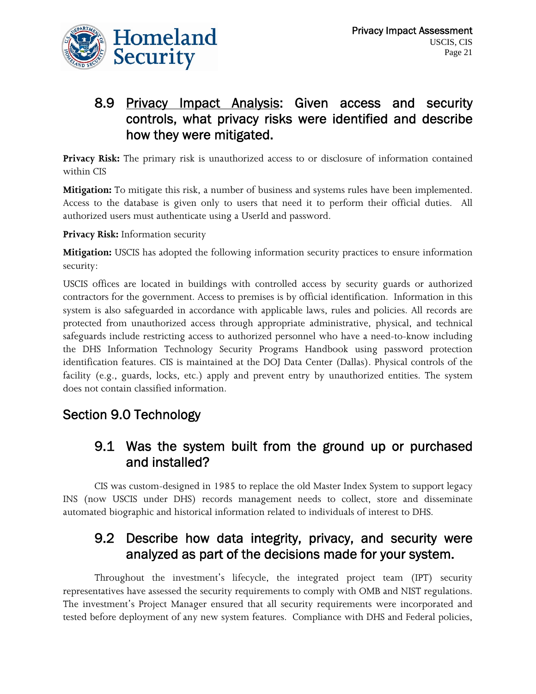

#### 8.9 Privacy Impact Analysis: Given access and security controls, what privacy risks were identified and describe how they were mitigated.

**Privacy Risk:** The primary risk is unauthorized access to or disclosure of information contained within CIS

**Mitigation:** To mitigate this risk, a number of business and systems rules have been implemented. Access to the database is given only to users that need it to perform their official duties. All authorized users must authenticate using a UserId and password.

**Privacy Risk:** Information security

**Mitigation:** USCIS has adopted the following information security practices to ensure information security:

USCIS offices are located in buildings with controlled access by security guards or authorized contractors for the government. Access to premises is by official identification. Information in this system is also safeguarded in accordance with applicable laws, rules and policies. All records are protected from unauthorized access through appropriate administrative, physical, and technical safeguards include restricting access to authorized personnel who have a need-to-know including the DHS Information Technology Security Programs Handbook using password protection identification features. CIS is maintained at the DOJ Data Center (Dallas). Physical controls of the facility (e.g., guards, locks, etc.) apply and prevent entry by unauthorized entities. The system does not contain classified information.

#### Section 9.0 Technology

#### 9.1 Was the system built from the ground up or purchased and installed?

CIS was custom-designed in 1985 to replace the old Master Index System to support legacy INS (now USCIS under DHS) records management needs to collect, store and disseminate automated biographic and historical information related to individuals of interest to DHS.

#### 9.2 Describe how data integrity, privacy, and security were analyzed as part of the decisions made for your system.

Throughout the investment's lifecycle, the integrated project team (IPT) security representatives have assessed the security requirements to comply with OMB and NIST regulations. The investment's Project Manager ensured that all security requirements were incorporated and tested before deployment of any new system features. Compliance with DHS and Federal policies,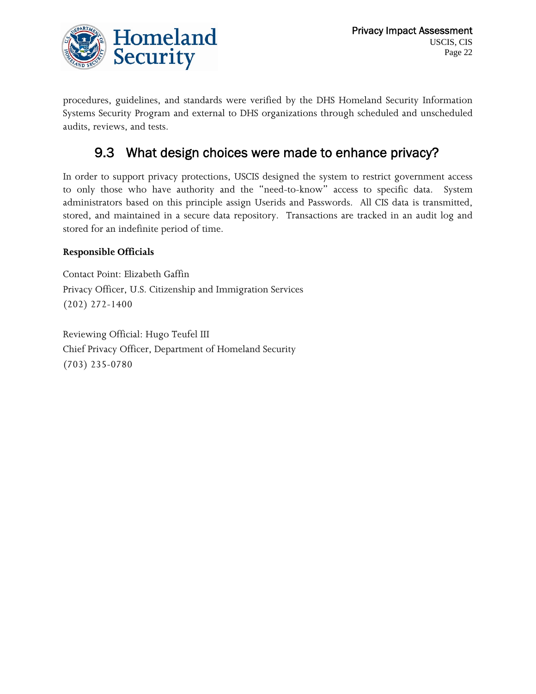

procedures, guidelines, and standards were verified by the DHS Homeland Security Information Systems Security Program and external to DHS organizations through scheduled and unscheduled audits, reviews, and tests.

### 9.3 What design choices were made to enhance privacy?

In order to support privacy protections, USCIS designed the system to restrict government access to only those who have authority and the "need-to-know" access to specific data. System administrators based on this principle assign Userids and Passwords. All CIS data is transmitted, stored, and maintained in a secure data repository. Transactions are tracked in an audit log and stored for an indefinite period of time.

#### **Responsible Officials**

Contact Point: Elizabeth Gaffin Privacy Officer, U.S. Citizenship and Immigration Services (202) 272-1400

Reviewing Official: Hugo Teufel III Chief Privacy Officer, Department of Homeland Security (703) 235-0780